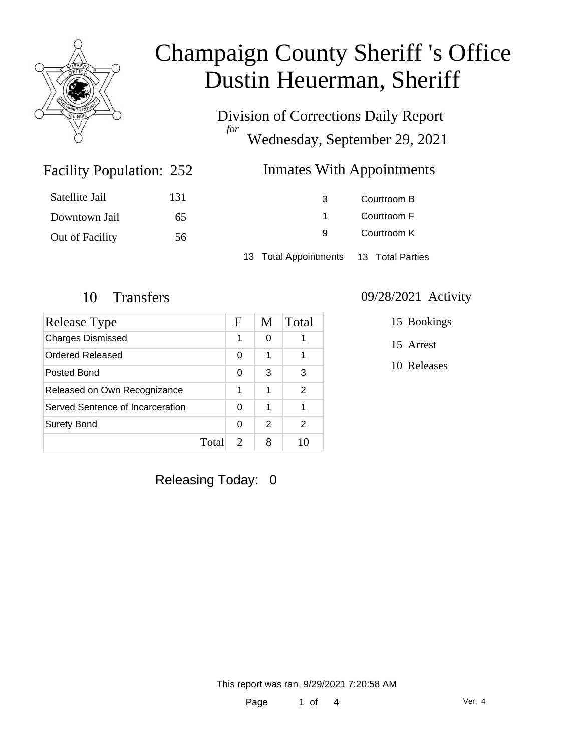

Division of Corrections Daily Report *for* Wednesday, September 29, 2021

### Inmates With Appointments

| Satellite Jail  | 131 | 3                                      | Courtroom B |  |
|-----------------|-----|----------------------------------------|-------------|--|
| Downtown Jail   | 65  |                                        | Courtroom F |  |
| Out of Facility | 56  | 9                                      | Courtroom K |  |
|                 |     | 13 Total Appointments 13 Total Parties |             |  |

Facility Population: 252

| Release Type                     |       | F                           | M | Total |
|----------------------------------|-------|-----------------------------|---|-------|
| <b>Charges Dismissed</b>         |       | 1                           | 0 |       |
| Ordered Released                 |       | 0                           | 1 |       |
| Posted Bond                      |       | 0                           | 3 | 3     |
| Released on Own Recognizance     |       | 1                           | 1 | 2     |
| Served Sentence of Incarceration |       | 0                           | 1 |       |
| <b>Surety Bond</b>               |       | 0                           | 2 | 2     |
|                                  | Total | $\mathcal{D}_{\mathcal{L}}$ |   |       |

### 10 Transfers 09/28/2021 Activity

15 Bookings

15 Arrest

10 Releases

Releasing Today: 0

This report was ran 9/29/2021 7:20:58 AM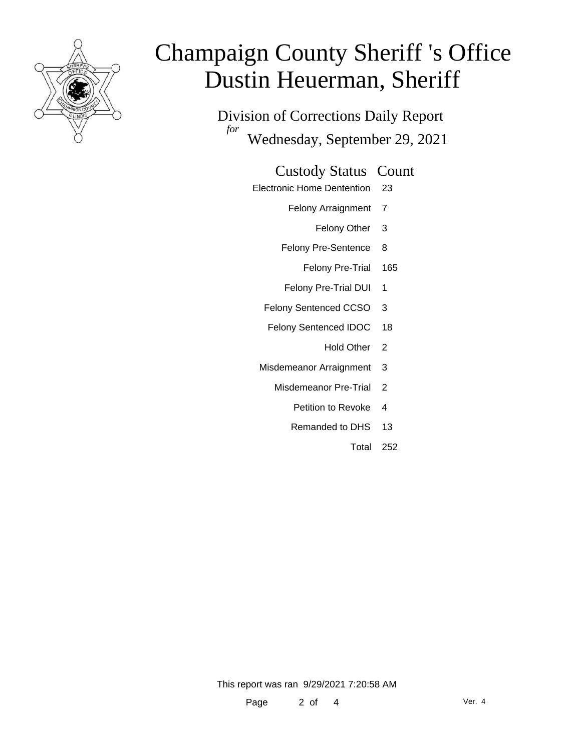

Division of Corrections Daily Report *for* Wednesday, September 29, 2021

### Custody Status Count

- Electronic Home Dentention 23
	- Felony Arraignment 7
		- Felony Other 3
	- Felony Pre-Sentence 8
		- Felony Pre-Trial 165
	- Felony Pre-Trial DUI 1
	- Felony Sentenced CCSO 3
	- Felony Sentenced IDOC 18
		- Hold Other<sub>2</sub>
	- Misdemeanor Arraignment 3
		- Misdemeanor Pre-Trial 2
			- Petition to Revoke 4
			- Remanded to DHS 13
				- Total 252

This report was ran 9/29/2021 7:20:58 AM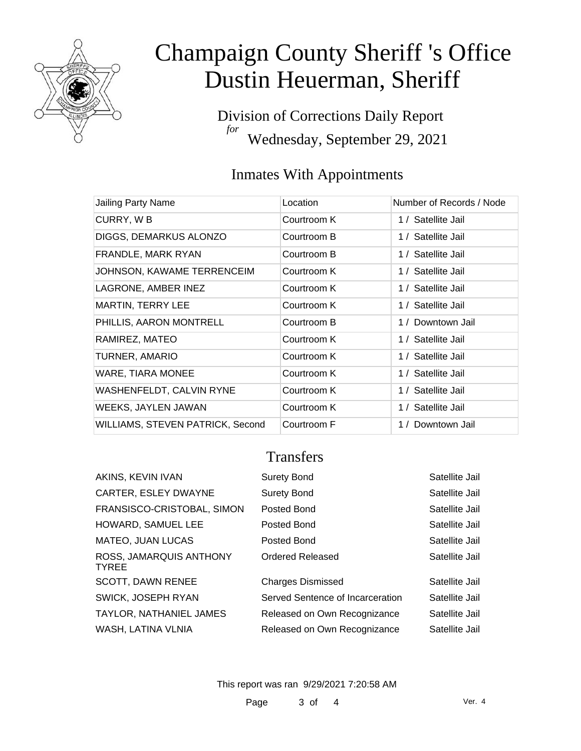

Division of Corrections Daily Report *for* Wednesday, September 29, 2021

## Inmates With Appointments

| Jailing Party Name               | Location    | Number of Records / Node |
|----------------------------------|-------------|--------------------------|
| CURRY, WB                        | Courtroom K | 1 / Satellite Jail       |
| DIGGS, DEMARKUS ALONZO           | Courtroom B | 1 / Satellite Jail       |
| FRANDLE, MARK RYAN               | Courtroom B | 1 / Satellite Jail       |
| JOHNSON, KAWAME TERRENCEIM       | Courtroom K | 1 / Satellite Jail       |
| LAGRONE, AMBER INEZ              | Courtroom K | 1 / Satellite Jail       |
| <b>MARTIN, TERRY LEE</b>         | Courtroom K | 1 / Satellite Jail       |
| PHILLIS, AARON MONTRELL          | Courtroom B | 1 / Downtown Jail        |
| RAMIREZ, MATEO                   | Courtroom K | 1 / Satellite Jail       |
| TURNER, AMARIO                   | Courtroom K | 1 / Satellite Jail       |
| <b>WARE, TIARA MONEE</b>         | Courtroom K | 1 / Satellite Jail       |
| WASHENFELDT, CALVIN RYNE         | Courtroom K | 1 / Satellite Jail       |
| WEEKS, JAYLEN JAWAN              | Courtroom K | 1 / Satellite Jail       |
| WILLIAMS, STEVEN PATRICK, Second | Courtroom F | 1 / Downtown Jail        |

### **Transfers**

| AKINS, KEVIN IVAN                       | <b>Surety Bond</b>               | Satellite Jail |
|-----------------------------------------|----------------------------------|----------------|
| CARTER, ESLEY DWAYNE                    | <b>Surety Bond</b>               | Satellite Jail |
| FRANSISCO-CRISTOBAL, SIMON              | Posted Bond                      | Satellite Jail |
| HOWARD, SAMUEL LEE                      | Posted Bond                      | Satellite Jail |
| <b>MATEO, JUAN LUCAS</b>                | Posted Bond                      | Satellite Jail |
| ROSS, JAMARQUIS ANTHONY<br><b>TYREE</b> | Ordered Released                 | Satellite Jail |
| <b>SCOTT, DAWN RENEE</b>                | <b>Charges Dismissed</b>         | Satellite Jail |
| SWICK, JOSEPH RYAN                      | Served Sentence of Incarceration | Satellite Jail |
| TAYLOR, NATHANIEL JAMES                 | Released on Own Recognizance     | Satellite Jail |
| WASH, LATINA VLNIA                      | Released on Own Recognizance     | Satellite Jail |
|                                         |                                  |                |